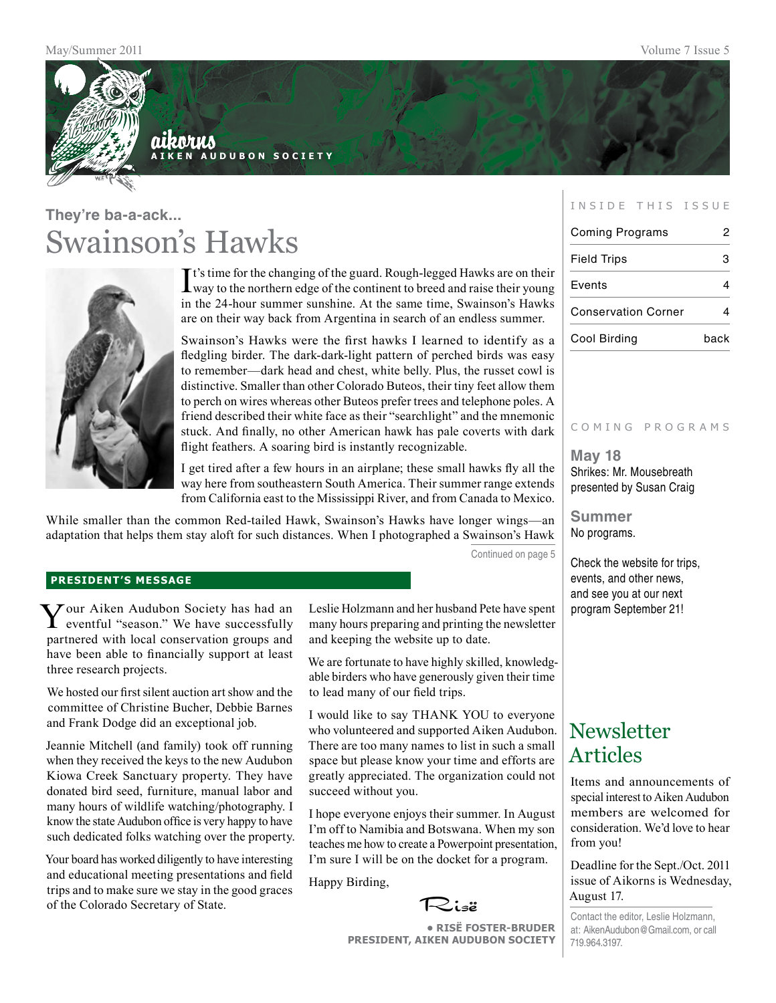

### aikorus **A i k e n A u d u b o n S o c i e t y**

## **They're ba-a-ack...** Swainson's Hawks



It's time for the changing of the guard. Rough-legged Hawks are on their<br>Way to the northern edge of the continent to breed and raise their young way to the northern edge of the continent to breed and raise their young in the 24-hour summer sunshine. At the same time, Swainson's Hawks are on their way back from Argentina in search of an endless summer.

Swainson's Hawks were the first hawks I learned to identify as a fledgling birder. The dark-dark-light pattern of perched birds was easy to remember—dark head and chest, white belly. Plus, the russet cowl is distinctive. Smaller than other Colorado Buteos, their tiny feet allow them to perch on wires whereas other Buteos prefer trees and telephone poles. A friend described their white face as their "searchlight" and the mnemonic stuck. And finally, no other American hawk has pale coverts with dark flight feathers. A soaring bird is instantly recognizable.

I get tired after a few hours in an airplane; these small hawks fly all the way here from southeastern South America. Their summer range extends from California east to the Mississippi River, and from Canada to Mexico.

While smaller than the common Red-tailed Hawk, Swainson's Hawks have longer wings—an adaptation that helps them stay aloft for such distances. When I photographed a Swainson's Hawk

Continued on page 5

#### **president's message**

Your Aiken Audubon Society has had an eventful "season." We have successfully partnered with local conservation groups and have been able to financially support at least three research projects.

We hosted our first silent auction art show and the committee of Christine Bucher, Debbie Barnes and Frank Dodge did an exceptional job.

Jeannie Mitchell (and family) took off running when they received the keys to the new Audubon Kiowa Creek Sanctuary property. They have donated bird seed, furniture, manual labor and many hours of wildlife watching/photography. I know the state Audubon office is very happy to have such dedicated folks watching over the property.

Your board has worked diligently to have interesting and educational meeting presentations and field trips and to make sure we stay in the good graces of the Colorado Secretary of State.

Leslie Holzmann and her husband Pete have spent many hours preparing and printing the newsletter and keeping the website up to date.

We are fortunate to have highly skilled, knowledgable birders who have generously given their time to lead many of our field trips.

I would like to say THANK YOU to everyone who volunteered and supported Aiken Audubon. There are too many names to list in such a small space but please know your time and efforts are greatly appreciated. The organization could not succeed without you.

I hope everyone enjoys their summer. In August I'm off to Namibia and Botswana. When my son teaches me how to create a Powerpoint presentation, I'm sure I will be on the docket for a program.

Happy Birding,



**• RisË Foster-Bruder President, Aiken Audubon Society**

#### INSIDE THIS ISSUE

| <b>Coming Programs</b>     |      |
|----------------------------|------|
| <b>Field Trips</b>         | з    |
| Events                     |      |
| <b>Conservation Corner</b> |      |
| Cool Birding               | hack |

#### COMING PROGRAMS

**May 18** Shrikes: Mr. Mousebreath presented by Susan Craig

**Summer** No programs.

Check the website for trips, events, and other news, and see you at our next program September 21!

### **Newsletter** Articles

Items and announcements of special interest to Aiken Audubon members are welcomed for consideration. We'd love to hear from you!

Deadline for the Sept./Oct. 2011 issue of Aikorns is Wednesday, August 17.

Contact the editor, Leslie Holzmann, at: AikenAudubon@Gmail.com, or call 719.964.3197.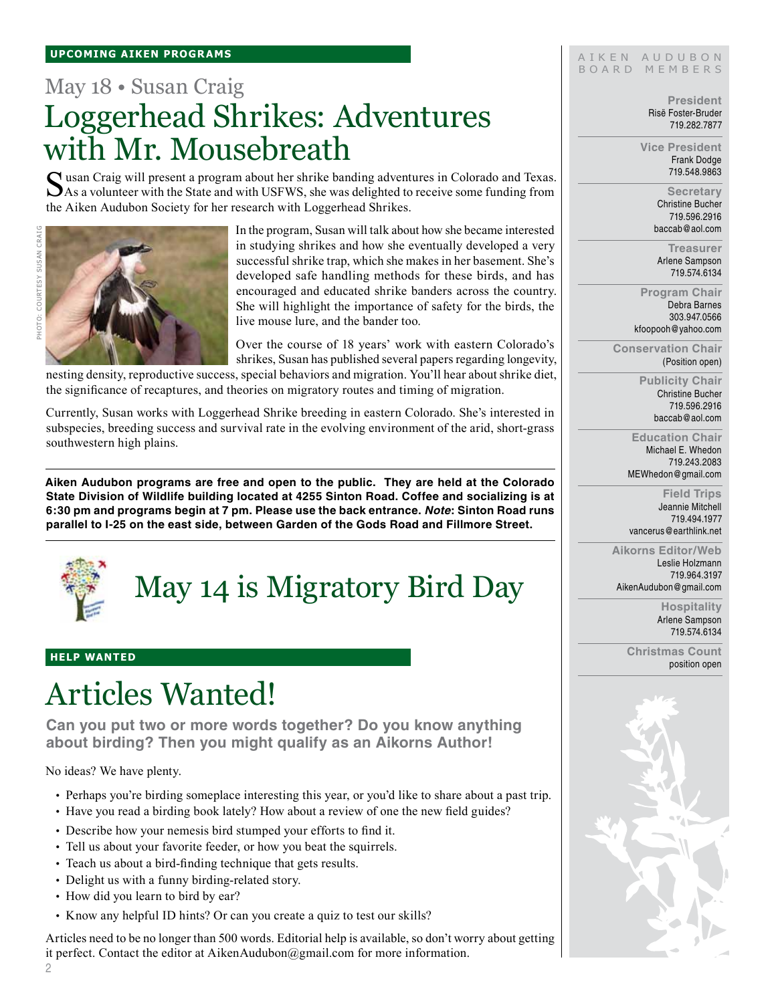## May 18 • Susan Craig Loggerhead Shrikes: Adventures with Mr. Mousebreath

Susan Craig will present a program about her shrike banding adventures in Colorado and Texas. As a volunteer with the State and with USFWS, she was delighted to receive some funding from the Aiken Audubon Society for her research with Loggerhead Shrikes.



Photo: courtesy Susan Craig

IOTO: COURTESY SUSAN CRAIG

In the program, Susan will talk about how she became interested in studying shrikes and how she eventually developed a very successful shrike trap, which she makes in her basement. She's developed safe handling methods for these birds, and has encouraged and educated shrike banders across the country. She will highlight the importance of safety for the birds, the live mouse lure, and the bander too.

Over the course of 18 years' work with eastern Colorado's shrikes, Susan has published several papers regarding longevity,

nesting density, reproductive success, special behaviors and migration. You'll hear about shrike diet, the significance of recaptures, and theories on migratory routes and timing of migration.

Currently, Susan works with Loggerhead Shrike breeding in eastern Colorado. She's interested in subspecies, breeding success and survival rate in the evolving environment of the arid, short-grass southwestern high plains.

**Aiken Audubon programs are free and open to the public. They are held at the Colorado State Division of Wildlife building located at 4255 Sinton Road. Coffee and socializing is at 6:30 pm and programs begin at 7 pm. Please use the back entrance.** *Note***: Sinton Road runs parallel to I-25 on the east side, between Garden of the Gods Road and Fillmore Street.**



May 14 is Migratory Bird Day

### **help wanted**

## Articles Wanted!

**Can you put two or more words together? Do you know anything about birding? Then you might qualify as an Aikorns Author!**

No ideas? We have plenty.

- Perhaps you're birding someplace interesting this year, or you'd like to share about a past trip.
- Have you read a birding book lately? How about a review of one the new field guides?
- Describe how your nemesis bird stumped your efforts to find it.
- Tell us about your favorite feeder, or how you beat the squirrels.
- Teach us about a bird-finding technique that gets results.
- Delight us with a funny birding-related story.
- How did you learn to bird by ear?
- Know any helpful ID hints? Or can you create a quiz to test our skills?

Articles need to be no longer than 500 words. Editorial help is available, so don't worry about getting it perfect. Contact the editor at AikenAudubon@gmail.com for more information.

#### AIKEN AUDUBON B O A R D M E M B E R S

**President** Risë Foster-Bruder 719.282.7877

**Vice President** Frank Dodge 719.548.9863

> **Secretary** Christine Bucher 719.596.2916 baccab@aol.com

**Treasurer** Arlene Sampson 719.574.6134

**Program Chair** Debra Barnes 303.947.0566 kfoopooh@yahoo.com

**Conservation Chair** (Position open)

> **Publicity Chair** Christine Bucher 719.596.2916 baccab@aol.com

**Education Chair** Michael E. Whedon 719.243.2083 MEWhedon@gmail.com

**Field Trips** Jeannie Mitchell 719.494.1977 vancerus@earthlink.net

**Aikorns Editor/Web** Leslie Holzmann 719.964.3197 AikenAudubon@gmail.com

> **Hospitality** Arlene Sampson 719.574.6134

**Christmas Count** position open

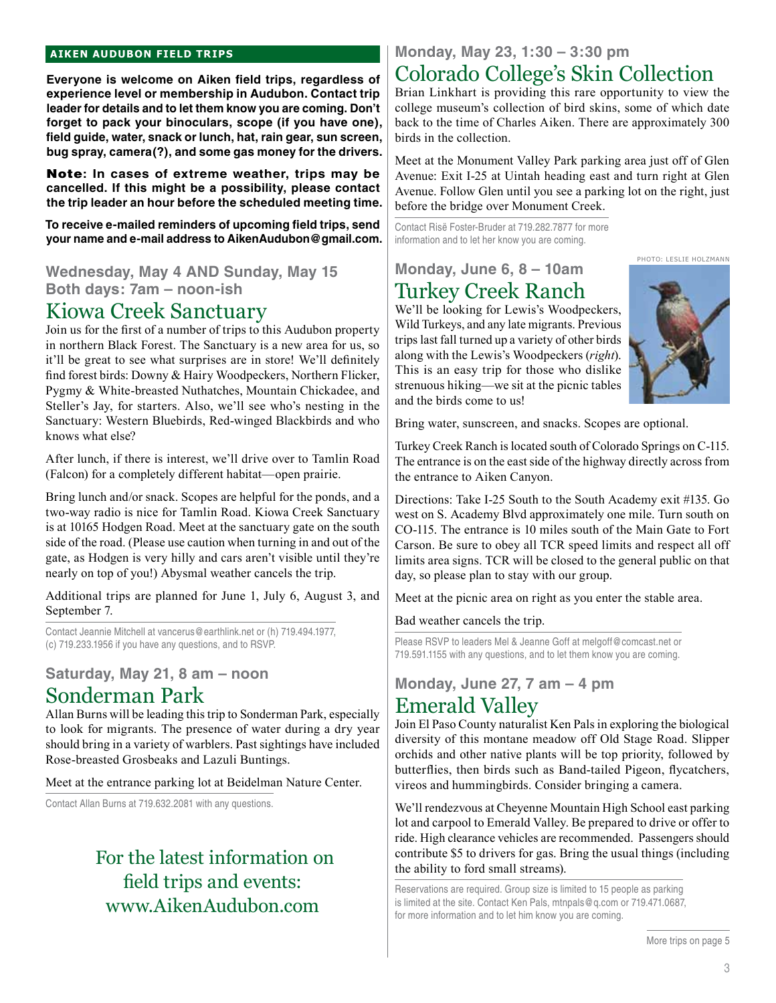#### **aiken audubon FIELD TRIPS**

**Everyone is welcome on Aiken field trips, regardless of experience level or membership in Audubon. Contact trip leader for details and to let them know you are coming. Don't forget to pack your binoculars, scope (if you have one), field guide, water, snack or lunch, hat, rain gear, sun screen, bug spray, camera(?), and some gas money for the drivers.** 

Note**: In cases of extreme weather, trips may be cancelled. If this might be a possibility, please contact the trip leader an hour before the scheduled meeting time.**

**To receive e-mailed reminders of upcoming field trips, send your name and e-mail address to AikenAudubon@gmail.com.**

**Wednesday, May 4 AND Sunday, May 15 Both days: 7am – noon-ish**

### Kiowa Creek Sanctuary

Join us for the first of a number of trips to this Audubon property in northern Black Forest. The Sanctuary is a new area for us, so it'll be great to see what surprises are in store! We'll definitely find forest birds: Downy & Hairy Woodpeckers, Northern Flicker, Pygmy & White-breasted Nuthatches, Mountain Chickadee, and Steller's Jay, for starters. Also, we'll see who's nesting in the Sanctuary: Western Bluebirds, Red-winged Blackbirds and who knows what else?

After lunch, if there is interest, we'll drive over to Tamlin Road (Falcon) for a completely different habitat—open prairie.

Bring lunch and/or snack. Scopes are helpful for the ponds, and a two-way radio is nice for Tamlin Road. Kiowa Creek Sanctuary is at 10165 Hodgen Road. Meet at the sanctuary gate on the south side of the road. (Please use caution when turning in and out of the gate, as Hodgen is very hilly and cars aren't visible until they're nearly on top of you!) Abysmal weather cancels the trip.

Additional trips are planned for June 1, July 6, August 3, and September 7.

Contact Jeannie Mitchell at vancerus@earthlink.net or (h) 719.494.1977, (c) 719.233.1956 if you have any questions, and to RSVP.

### **Saturday, May 21, 8 am – noon** Sonderman Park

Allan Burns will be leading this trip to Sonderman Park, especially to look for migrants. The presence of water during a dry year should bring in a variety of warblers. Past sightings have included Rose-breasted Grosbeaks and Lazuli Buntings.

Meet at the entrance parking lot at Beidelman Nature Center.

Contact Allan Burns at 719.632.2081 with any questions.

### For the latest information on field trips and events: www.AikenAudubon.com

## **Monday, May 23, 1:30 – 3:30 pm**

### Colorado College's Skin Collection

Brian Linkhart is providing this rare opportunity to view the college museum's collection of bird skins, some of which date back to the time of Charles Aiken. There are approximately 300 birds in the collection.

Meet at the Monument Valley Park parking area just off of Glen Avenue: Exit I-25 at Uintah heading east and turn right at Glen Avenue. Follow Glen until you see a parking lot on the right, just before the bridge over Monument Creek.

Contact Risë Foster-Bruder at 719.282.7877 for more information and to let her know you are coming.

### **Monday, June 6, 8 – 10am** Turkey Creek Ranch

We'll be looking for Lewis's Woodpeckers, Wild Turkeys, and any late migrants. Previous trips last fall turned up a variety of other birds along with the Lewis's Woodpeckers (*right*). This is an easy trip for those who dislike strenuous hiking—we sit at the picnic tables and the birds come to us!



Photo: leslie holzmann

Bring water, sunscreen, and snacks. Scopes are optional.

Turkey Creek Ranch is located south of Colorado Springs on C-115. The entrance is on the east side of the highway directly across from the entrance to Aiken Canyon.

Directions: Take I-25 South to the South Academy exit #135. Go west on S. Academy Blvd approximately one mile. Turn south on CO-115. The entrance is 10 miles south of the Main Gate to Fort Carson. Be sure to obey all TCR speed limits and respect all off limits area signs. TCR will be closed to the general public on that day, so please plan to stay with our group.

Meet at the picnic area on right as you enter the stable area.

Bad weather cancels the trip.

Please RSVP to leaders Mel & Jeanne Goff at melgoff@comcast.net or 719.591.1155 with any questions, and to let them know you are coming.

### **Monday, June 27, 7 am – 4 pm**

### Emerald Valley

Join El Paso County naturalist Ken Pals in exploring the biological diversity of this montane meadow off Old Stage Road. Slipper orchids and other native plants will be top priority, followed by butterflies, then birds such as Band-tailed Pigeon, flycatchers, vireos and hummingbirds. Consider bringing a camera.

We'll rendezvous at Cheyenne Mountain High School east parking lot and carpool to Emerald Valley. Be prepared to drive or offer to ride. High clearance vehicles are recommended. Passengers should contribute \$5 to drivers for gas. Bring the usual things (including the ability to ford small streams).

Reservations are required. Group size is limited to 15 people as parking is limited at the site. Contact Ken Pals, mtnpals@q.com or 719.471.0687, for more information and to let him know you are coming.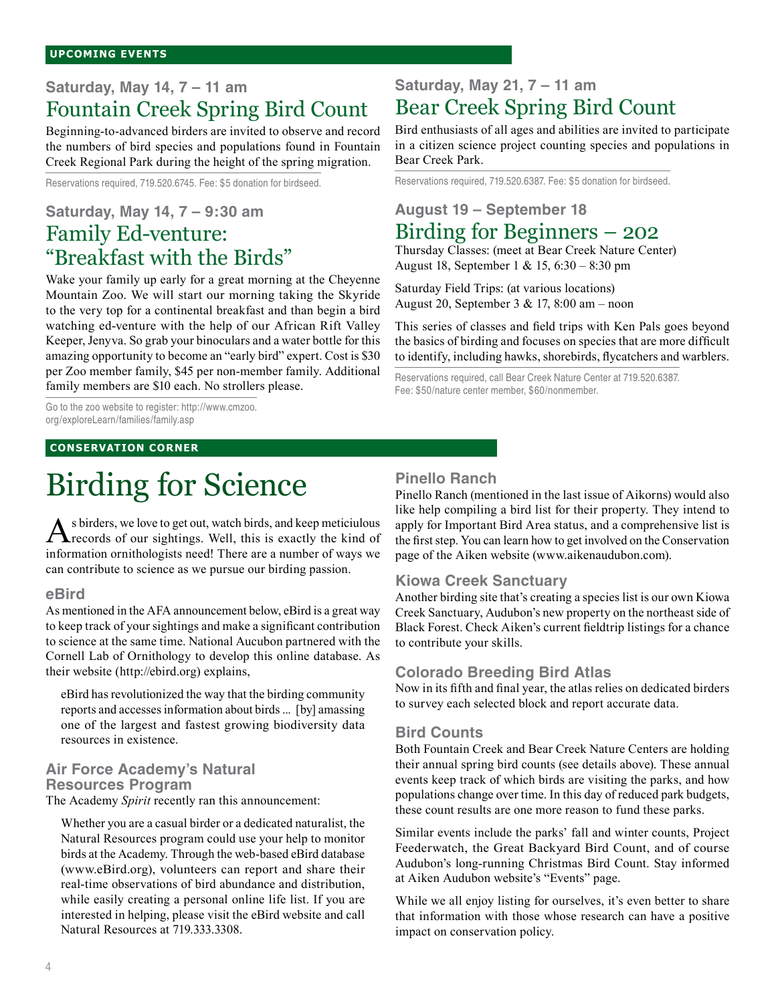### **Saturday, May 14, 7 – 11 am** Fountain Creek Spring Bird Count

Beginning-to-advanced birders are invited to observe and record the numbers of bird species and populations found in Fountain Creek Regional Park during the height of the spring migration.

Reservations required, 719.520.6745. Fee: \$5 donation for birdseed.

### **Saturday, May 14, 7 – 9:30 am** Family Ed-venture:

## "Breakfast with the Birds"

Wake your family up early for a great morning at the Cheyenne Mountain Zoo. We will start our morning taking the Skyride to the very top for a continental breakfast and than begin a bird watching ed-venture with the help of our African Rift Valley Keeper, Jenyva. So grab your binoculars and a water bottle for this amazing opportunity to become an "early bird" expert. Cost is \$30 per Zoo member family, \$45 per non-member family. Additional family members are \$10 each. No strollers please.

Go to the zoo website to register: http://www.cmzoo. org/exploreLearn/families/family.asp

#### **Conservation corner**

# Birding for Science

As birders, we love to get out, watch birds, and keep meticiulous<br>records of our sightings. Well, this is exactly the kind of information ornithologists need! There are a number of ways we can contribute to science as we pursue our birding passion.

#### **eBird**

As mentioned in the AFA announcement below, eBird is a great way to keep track of your sightings and make a significant contribution to science at the same time. National Aucubon partnered with the Cornell Lab of Ornithology to develop this online database. As their website (http://ebird.org) explains,

eBird has revolutionized the way that the birding community reports and accesses information about birds ... [by] amassing one of the largest and fastest growing biodiversity data resources in existence.

### **Air Force Academy's Natural Resources Program**

The Academy *Spirit* recently ran this announcement:

Whether you are a casual birder or a dedicated naturalist, the Natural Resources program could use your help to monitor birds at the Academy. Through the web-based eBird database (www.eBird.org), volunteers can report and share their real-time observations of bird abundance and distribution, while easily creating a personal online life list. If you are interested in helping, please visit the eBird website and call Natural Resources at 719.333.3308.

### **Pinello Ranch**

Pinello Ranch (mentioned in the last issue of Aikorns) would also like help compiling a bird list for their property. They intend to apply for Important Bird Area status, and a comprehensive list is the first step. You can learn how to get involved on the Conservation page of the Aiken website (www.aikenaudubon.com).

#### **Kiowa Creek Sanctuary**

**Saturday, May 21, 7 – 11 am**

**August 19 – September 18**

Bear Creek Park.

Bear Creek Spring Bird Count

Reservations required, 719.520.6387. Fee: \$5 donation for birdseed.

Birding for Beginners – 202 Thursday Classes: (meet at Bear Creek Nature Center)

August 18, September 1 & 15, 6:30 – 8:30 pm Saturday Field Trips: (at various locations) August 20, September 3 & 17, 8:00 am – noon

Fee: \$50/nature center member, \$60/nonmember.

Bird enthusiasts of all ages and abilities are invited to participate in a citizen science project counting species and populations in

This series of classes and field trips with Ken Pals goes beyond the basics of birding and focuses on species that are more difficult to identify, including hawks, shorebirds, flycatchers and warblers.

Reservations required, call Bear Creek Nature Center at 719.520.6387.

Another birding site that's creating a species list is our own Kiowa Creek Sanctuary, Audubon's new property on the northeast side of Black Forest. Check Aiken's current fieldtrip listings for a chance to contribute your skills.

### **Colorado Breeding Bird Atlas**

Now in its fifth and final year, the atlas relies on dedicated birders to survey each selected block and report accurate data.

#### **Bird Counts**

Both Fountain Creek and Bear Creek Nature Centers are holding their annual spring bird counts (see details above). These annual events keep track of which birds are visiting the parks, and how populations change over time. In this day of reduced park budgets, these count results are one more reason to fund these parks.

Similar events include the parks' fall and winter counts, Project Feederwatch, the Great Backyard Bird Count, and of course Audubon's long-running Christmas Bird Count. Stay informed at Aiken Audubon website's "Events" page.

While we all enjoy listing for ourselves, it's even better to share that information with those whose research can have a positive impact on conservation policy.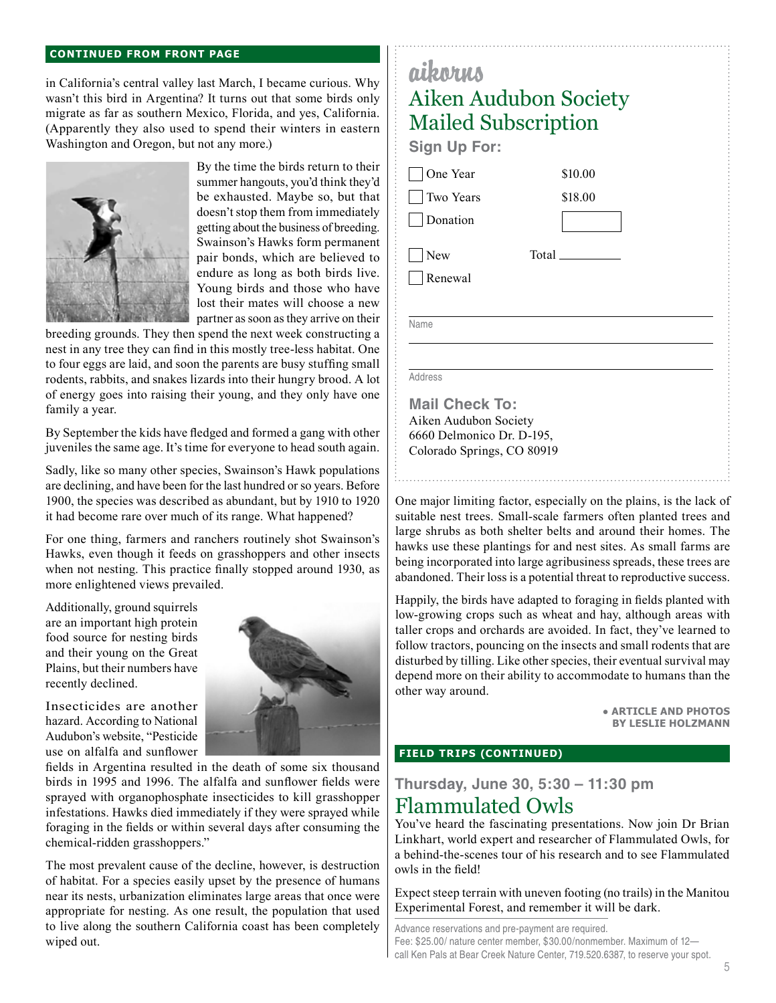#### **continued from front page**

in California's central valley last March, I became curious. Why wasn't this bird in Argentina? It turns out that some birds only migrate as far as southern Mexico, Florida, and yes, California. (Apparently they also used to spend their winters in eastern Washington and Oregon, but not any more.)



By the time the birds return to their summer hangouts, you'd think they'd be exhausted. Maybe so, but that doesn't stop them from immediately getting about the business of breeding. Swainson's Hawks form permanent pair bonds, which are believed to endure as long as both birds live. Young birds and those who have lost their mates will choose a new partner as soon as they arrive on their

breeding grounds. They then spend the next week constructing a nest in any tree they can find in this mostly tree-less habitat. One to four eggs are laid, and soon the parents are busy stuffing small rodents, rabbits, and snakes lizards into their hungry brood. A lot of energy goes into raising their young, and they only have one family a year.

By September the kids have fledged and formed a gang with other juveniles the same age. It's time for everyone to head south again.

Sadly, like so many other species, Swainson's Hawk populations are declining, and have been for the last hundred or so years. Before 1900, the species was described as abundant, but by 1910 to 1920 it had become rare over much of its range. What happened?

For one thing, farmers and ranchers routinely shot Swainson's Hawks, even though it feeds on grasshoppers and other insects when not nesting. This practice finally stopped around 1930, as more enlightened views prevailed.

Additionally, ground squirrels are an important high protein food source for nesting birds and their young on the Great Plains, but their numbers have recently declined.



Insecticides are another hazard. According to National Audubon's website, "Pesticide use on alfalfa and sunflower

fields in Argentina resulted in the death of some six thousand birds in 1995 and 1996. The alfalfa and sunflower fields were sprayed with organophosphate insecticides to kill grasshopper infestations. Hawks died immediately if they were sprayed while foraging in the fields or within several days after consuming the chemical-ridden grasshoppers."

The most prevalent cause of the decline, however, is destruction of habitat. For a species easily upset by the presence of humans near its nests, urbanization eliminates large areas that once were appropriate for nesting. As one result, the population that used to live along the southern California coast has been completely wiped out.

### aikorus Aiken Audubon Society Mailed Subscription **Sign Up For:** One Year \$10.00 Two Years \$18.00 **Donation**  $\Box$ New Total Renewal Name Address **Mail Check To:** Aiken Audubon Society 6660 Delmonico Dr. D-195,

One major limiting factor, especially on the plains, is the lack of suitable nest trees. Small-scale farmers often planted trees and large shrubs as both shelter belts and around their homes. The hawks use these plantings for and nest sites. As small farms are being incorporated into large agribusiness spreads, these trees are abandoned. Their loss is a potential threat to reproductive success.

Happily, the birds have adapted to foraging in fields planted with low-growing crops such as wheat and hay, although areas with taller crops and orchards are avoided. In fact, they've learned to follow tractors, pouncing on the insects and small rodents that are disturbed by tilling. Like other species, their eventual survival may depend more on their ability to accommodate to humans than the other way around.

> ● **Article and photos by Leslie Holzmann**

### **field trips (continued)**

Colorado Springs, CO 80919

**Thursday, June 30, 5:30 – 11:30 pm** Flammulated Owls

You've heard the fascinating presentations. Now join Dr Brian Linkhart, world expert and researcher of Flammulated Owls, for a behind-the-scenes tour of his research and to see Flammulated owls in the field!

Expect steep terrain with uneven footing (no trails) in the Manitou Experimental Forest, and remember it will be dark.

Advance reservations and pre-payment are required. Fee: \$25.00/ nature center member, \$30.00/nonmember. Maximum of 12 call Ken Pals at Bear Creek Nature Center, 719.520.6387, to reserve your spot.